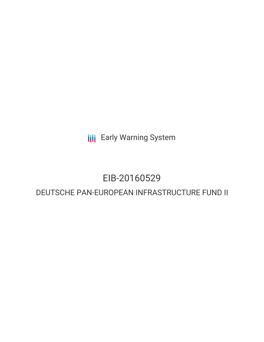**III** Early Warning System

## EIB-20160529

### DEUTSCHE PAN-EUROPEAN INFRASTRUCTURE FUND II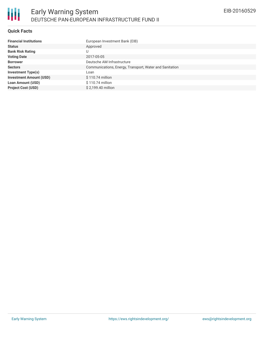

### **Quick Facts**

| <b>Financial Institutions</b>  | European Investment Bank (EIB)                          |
|--------------------------------|---------------------------------------------------------|
| <b>Status</b>                  | Approved                                                |
| <b>Bank Risk Rating</b>        | U                                                       |
| <b>Voting Date</b>             | 2017-05-05                                              |
| <b>Borrower</b>                | Deutsche AM Infrastructure                              |
| <b>Sectors</b>                 | Communications, Energy, Transport, Water and Sanitation |
| <b>Investment Type(s)</b>      | Loan                                                    |
| <b>Investment Amount (USD)</b> | $$110.74$ million                                       |
| <b>Loan Amount (USD)</b>       | $$110.74$ million                                       |
| <b>Project Cost (USD)</b>      | \$2.199.40 million                                      |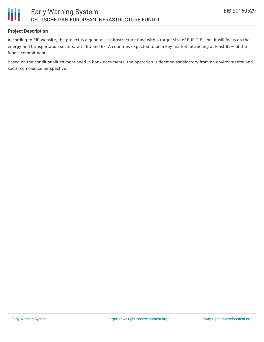



### **Project Description**

According to EIB website, the project is a generalist infrastructure fund with a target size of EUR 2 Billion. It will focus on the energy and transportation sectors, with EU and EFTA countries expected to be a key market, attracting at least 85% of the fund's commitments.

Based on the conditionalities mentioned in bank documents, the operation is deemed satisfactory from an environmental and social compliance perspective.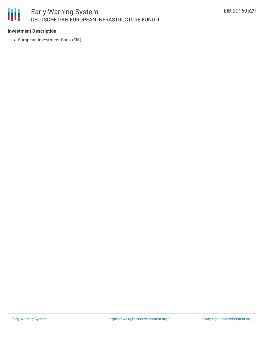# 朋

### **Investment Description**

European Investment Bank (EIB)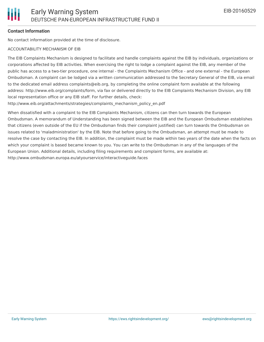### **Contact Information**

No contact information provided at the time of disclosure.

#### ACCOUNTABILITY MECHANISM OF EIB

The EIB Complaints Mechanism is designed to facilitate and handle complaints against the EIB by individuals, organizations or corporations affected by EIB activities. When exercising the right to lodge a complaint against the EIB, any member of the public has access to a two-tier procedure, one internal - the Complaints Mechanism Office - and one external - the European Ombudsman. A complaint can be lodged via a written communication addressed to the Secretary General of the EIB, via email to the dedicated email address complaints@eib.org, by completing the online complaint form available at the following address: http://www.eib.org/complaints/form, via fax or delivered directly to the EIB Complaints Mechanism Division, any EIB local representation office or any EIB staff. For further details, check:

http://www.eib.org/attachments/strategies/complaints\_mechanism\_policy\_en.pdf

When dissatisfied with a complaint to the EIB Complaints Mechanism, citizens can then turn towards the European Ombudsman. A memorandum of Understanding has been signed between the EIB and the European Ombudsman establishes that citizens (even outside of the EU if the Ombudsman finds their complaint justified) can turn towards the Ombudsman on issues related to 'maladministration' by the EIB. Note that before going to the Ombudsman, an attempt must be made to resolve the case by contacting the EIB. In addition, the complaint must be made within two years of the date when the facts on which your complaint is based became known to you. You can write to the Ombudsman in any of the languages of the European Union. Additional details, including filing requirements and complaint forms, are available at: http://www.ombudsman.europa.eu/atyourservice/interactiveguide.faces